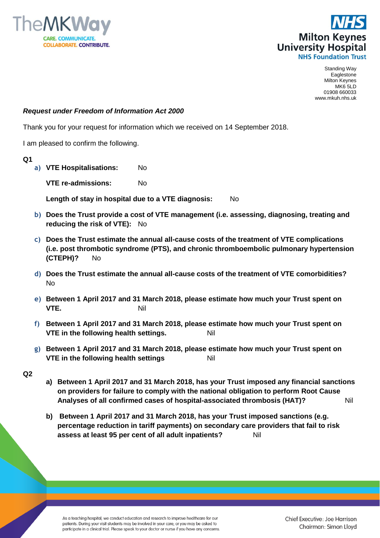



Standing Way Eaglestone Milton Keynes MK6 5LD 01908 660033 www.mkuh.nhs.uk

## *Request under Freedom of Information Act 2000*

Thank you for your request for information which we received on 14 September 2018.

I am pleased to confirm the following.

**Q1**

**a) VTE Hospitalisations:** No

**VTE re-admissions:** No

**Length of stay in hospital due to a VTE diagnosis:** No

- **b) Does the Trust provide a cost of VTE management (i.e. assessing, diagnosing, treating and reducing the risk of VTE):** No
- **c) Does the Trust estimate the annual all-cause costs of the treatment of VTE complications (i.e. post thrombotic syndrome (PTS), and chronic thromboembolic pulmonary hypertension (CTEPH)?** No
- **d) Does the Trust estimate the annual all-cause costs of the treatment of VTE comorbidities?**  No
- **e) Between 1 April 2017 and 31 March 2018, please estimate how much your Trust spent on VTE.** Nil
- **f) Between 1 April 2017 and 31 March 2018, please estimate how much your Trust spent on VTE in the following health settings.** Nil
- **g) Between 1 April 2017 and 31 March 2018, please estimate how much your Trust spent on VTE in the following health settings** Nil
- **Q2**
- **a) Between 1 April 2017 and 31 March 2018, has your Trust imposed any financial sanctions on providers for failure to comply with the national obligation to perform Root Cause Analyses of all confirmed cases of hospital-associated thrombosis (HAT)?** Nil
- **b) Between 1 April 2017 and 31 March 2018, has your Trust imposed sanctions (e.g. percentage reduction in tariff payments) on secondary care providers that fail to risk assess at least 95 per cent of all adult inpatients?** Nil

As a teaching hospital, we conduct education and research to improve healthcare for our patients. During your visit students may be involved in your care, or you may be asked to participate in a clinical trial. Please speak to your doctor or nurse if you have any concerns. Chief Executive: Joe Harrison Chairman: Simon Lloyd